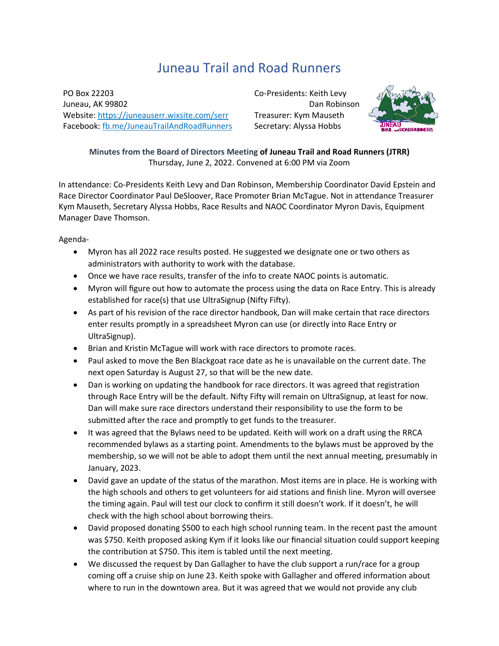## Juneau Trail and Road Runners

PO Box 22203 Juneau, AK 99802 Website:<https://juneauserr.wixsite.com/serr> Facebook[: fb.me/JuneauTrailAndRoadRunners](https://fb.me/JuneauTrailAndRoadRunners) Co-Presidents: Keith Levy Dan Robinson Treasurer: Kym Mauseth Secretary: Alyssa Hobbs



**Minutes from the Board of Directors Meeting of Juneau Trail and Road Runners (JTRR)** Thursday, June 2, 2022. Convened at 6:00 PM via Zoom

In attendance: Co-Presidents Keith Levy and Dan Robinson, Membership Coordinator David Epstein and Race Director Coordinator Paul DeSloover, Race Promoter Brian McTague. Not in attendance Treasurer Kym Mauseth, Secretary Alyssa Hobbs, Race Results and NAOC Coordinator Myron Davis, Equipment Manager Dave Thomson.

Agenda-

- Myron has all 2022 race results posted. He suggested we designate one or two others as administrators with authority to work with the database.
- Once we have race results, transfer of the info to create NAOC points is automatic.
- Myron will figure out how to automate the process using the data on Race Entry. This is already established for race(s) that use UltraSignup (Nifty Fifty).
- As part of his revision of the race director handbook, Dan will make certain that race directors enter results promptly in a spreadsheet Myron can use (or directly into Race Entry or UltraSignup).
- Brian and Kristin McTague will work with race directors to promote races.
- Paul asked to move the Ben Blackgoat race date as he is unavailable on the current date. The next open Saturday is August 27, so that will be the new date.
- Dan is working on updating the handbook for race directors. It was agreed that registration through Race Entry will be the default. Nifty Fifty will remain on UltraSignup, at least for now. Dan will make sure race directors understand their responsibility to use the form to be submitted after the race and promptly to get funds to the treasurer.
- It was agreed that the Bylaws need to be updated. Keith will work on a draft using the RRCA recommended bylaws as a starting point. Amendments to the bylaws must be approved by the membership, so we will not be able to adopt them until the next annual meeting, presumably in January, 2023.
- David gave an update of the status of the marathon. Most items are in place. He is working with the high schools and others to get volunteers for aid stations and finish line. Myron will oversee the timing again. Paul will test our clock to confirm it still doesn't work. If it doesn't, he will check with the high school about borrowing theirs.
- David proposed donating \$500 to each high school running team. In the recent past the amount was \$750. Keith proposed asking Kym if it looks like our financial situation could support keeping the contribution at \$750. This item is tabled until the next meeting.
- We discussed the request by Dan Gallagher to have the club support a run/race for a group coming off a cruise ship on June 23. Keith spoke with Gallagher and offered information about where to run in the downtown area. But it was agreed that we would not provide any club